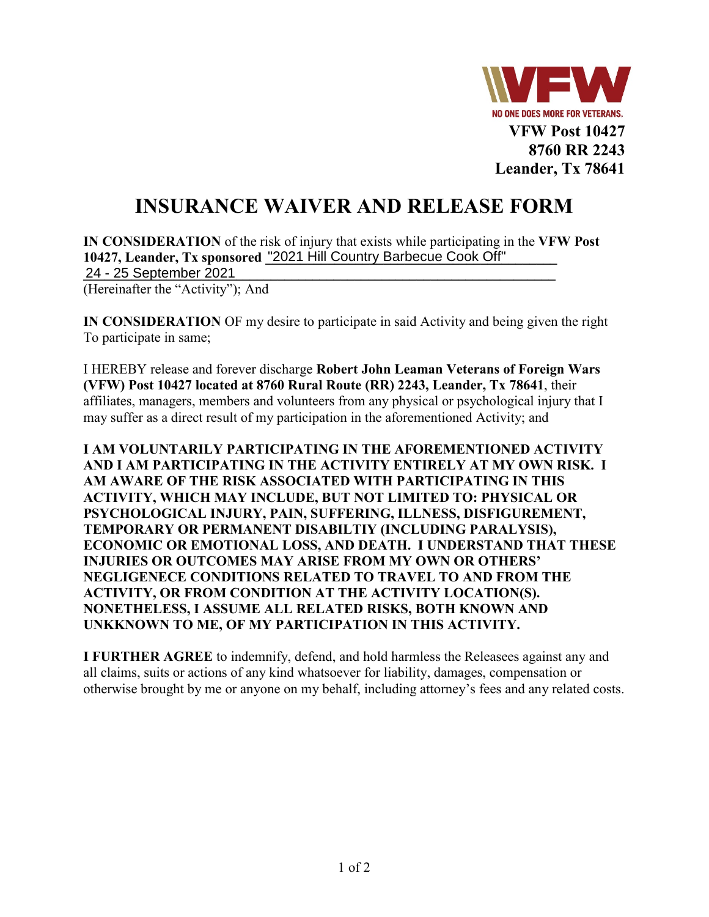

## **INSURANCE WAIVER AND RELEASE FORM**

**IN CONSIDERATION** of the risk of injury that exists while participating in the **VFW Post**  10427, Leander, Tx sponsored <sup>"2021</sup> Hill Country Barbecue Cook Off" **\_\_\_\_\_\_\_\_\_\_\_\_\_\_\_\_\_\_\_\_\_\_\_\_\_\_\_\_\_\_\_\_\_\_\_\_\_\_\_\_\_\_\_\_\_\_\_\_\_\_\_\_\_\_\_\_\_\_\_\_\_\_\_\_\_\_\_\_**  24 - 25 September 2021

(Hereinafter the "Activity"); And

**IN CONSIDERATION** OF my desire to participate in said Activity and being given the right To participate in same;

I HEREBY release and forever discharge **Robert John Leaman Veterans of Foreign Wars (VFW) Post 10427 located at 8760 Rural Route (RR) 2243, Leander, Tx 78641**, their affiliates, managers, members and volunteers from any physical or psychological injury that I may suffer as a direct result of my participation in the aforementioned Activity; and

**I AM VOLUNTARILY PARTICIPATING IN THE AFOREMENTIONED ACTIVITY AND I AM PARTICIPATING IN THE ACTIVITY ENTIRELY AT MY OWN RISK. I AM AWARE OF THE RISK ASSOCIATED WITH PARTICIPATING IN THIS ACTIVITY, WHICH MAY INCLUDE, BUT NOT LIMITED TO: PHYSICAL OR PSYCHOLOGICAL INJURY, PAIN, SUFFERING, ILLNESS, DISFIGUREMENT, TEMPORARY OR PERMANENT DISABILTIY (INCLUDING PARALYSIS), ECONOMIC OR EMOTIONAL LOSS, AND DEATH. I UNDERSTAND THAT THESE INJURIES OR OUTCOMES MAY ARISE FROM MY OWN OR OTHERS' NEGLIGENECE CONDITIONS RELATED TO TRAVEL TO AND FROM THE ACTIVITY, OR FROM CONDITION AT THE ACTIVITY LOCATION(S). NONETHELESS, I ASSUME ALL RELATED RISKS, BOTH KNOWN AND UNKKNOWN TO ME, OF MY PARTICIPATION IN THIS ACTIVITY.**

**I FURTHER AGREE** to indemnify, defend, and hold harmless the Releasees against any and all claims, suits or actions of any kind whatsoever for liability, damages, compensation or otherwise brought by me or anyone on my behalf, including attorney's fees and any related costs.